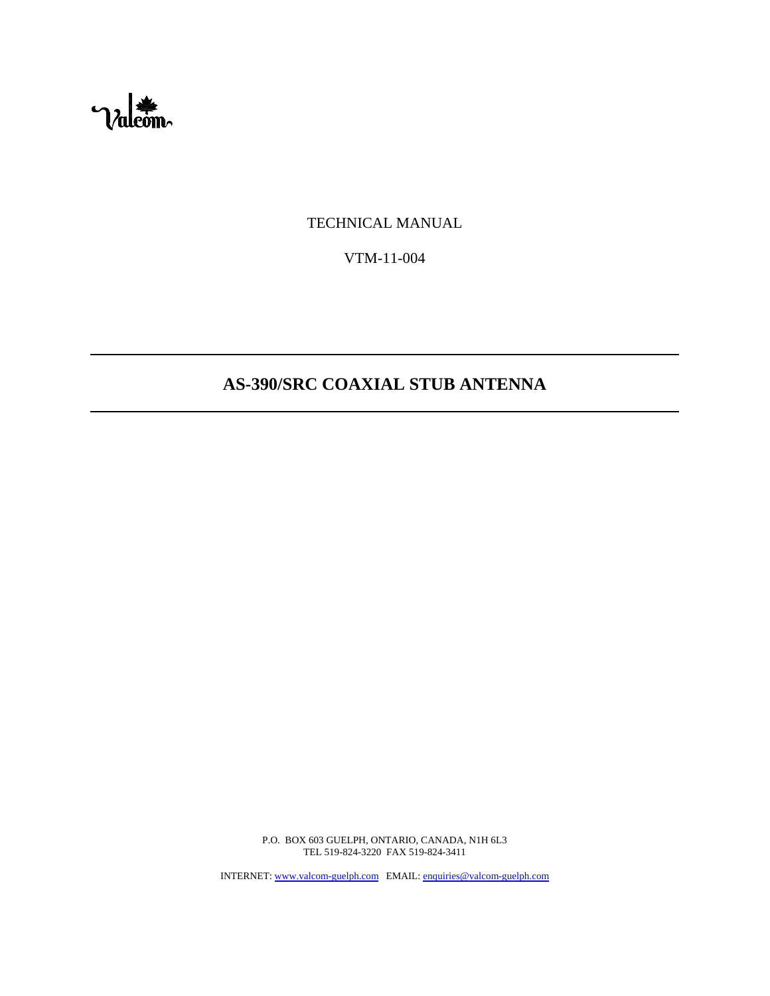

TECHNICAL MANUAL

VTM-11-004

# **AS-390/SRC COAXIAL STUB ANTENNA**

P.O. BOX 603 GUELPH, ONTARIO, CANADA, N1H 6L3 TEL 519-824-3220 FAX 519-824-3411

INTERNET: www.valcom-guelph.com EMAIL: enquiries@valcom-guelph.com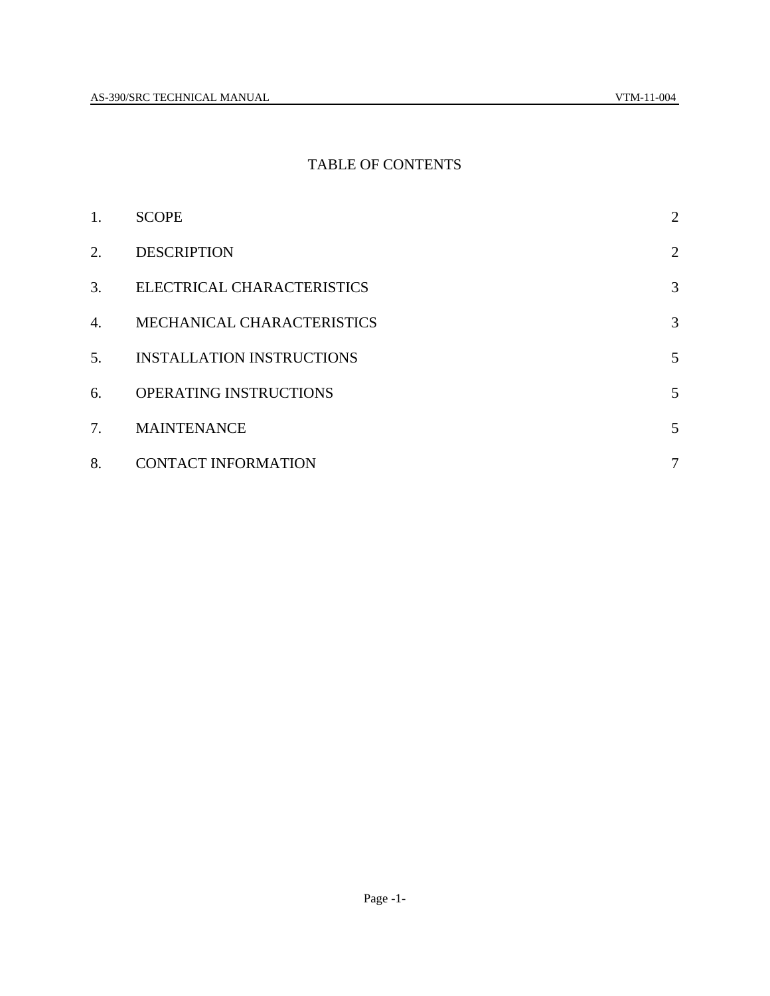#### TABLE OF CONTENTS

| 1. | <b>SCOPE</b>                     | $\overline{2}$ |
|----|----------------------------------|----------------|
| 2. | <b>DESCRIPTION</b>               | $\overline{2}$ |
| 3. | ELECTRICAL CHARACTERISTICS       | 3              |
| 4. | MECHANICAL CHARACTERISTICS       | 3              |
| 5. | <b>INSTALLATION INSTRUCTIONS</b> | 5              |
| 6. | OPERATING INSTRUCTIONS           | 5              |
| 7. | <b>MAINTENANCE</b>               | 5              |
| 8. | <b>CONTACT INFORMATION</b>       | $\overline{7}$ |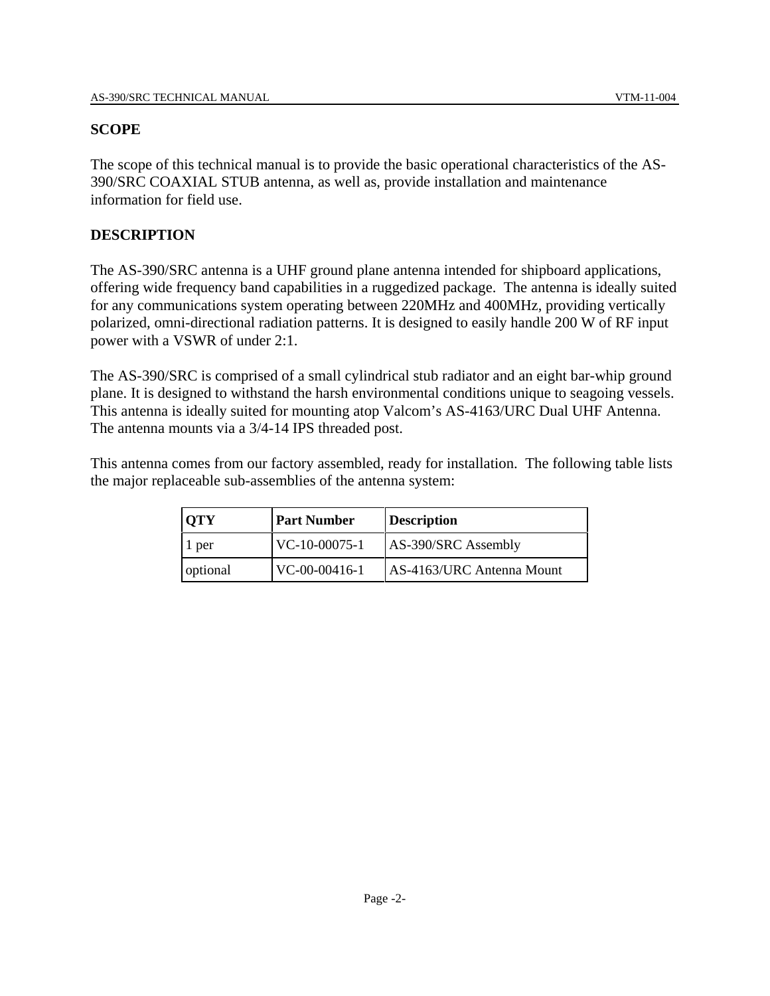#### **SCOPE**

The scope of this technical manual is to provide the basic operational characteristics of the AS-390/SRC COAXIAL STUB antenna, as well as, provide installation and maintenance information for field use.

#### **DESCRIPTION**

The AS-390/SRC antenna is a UHF ground plane antenna intended for shipboard applications, offering wide frequency band capabilities in a ruggedized package. The antenna is ideally suited for any communications system operating between 220MHz and 400MHz, providing vertically polarized, omni-directional radiation patterns. It is designed to easily handle 200 W of RF input power with a VSWR of under 2:1.

The AS-390/SRC is comprised of a small cylindrical stub radiator and an eight bar-whip ground plane. It is designed to withstand the harsh environmental conditions unique to seagoing vessels. This antenna is ideally suited for mounting atop Valcom's AS-4163/URC Dual UHF Antenna. The antenna mounts via a 3/4-14 IPS threaded post.

This antenna comes from our factory assembled, ready for installation. The following table lists the major replaceable sub-assemblies of the antenna system:

| <b>OTY</b> | <b>Part Number</b> | <b>Description</b>        |
|------------|--------------------|---------------------------|
| 1 per      | VC-10-00075-1      | AS-390/SRC Assembly       |
| optional   | VC-00-00416-1      | AS-4163/URC Antenna Mount |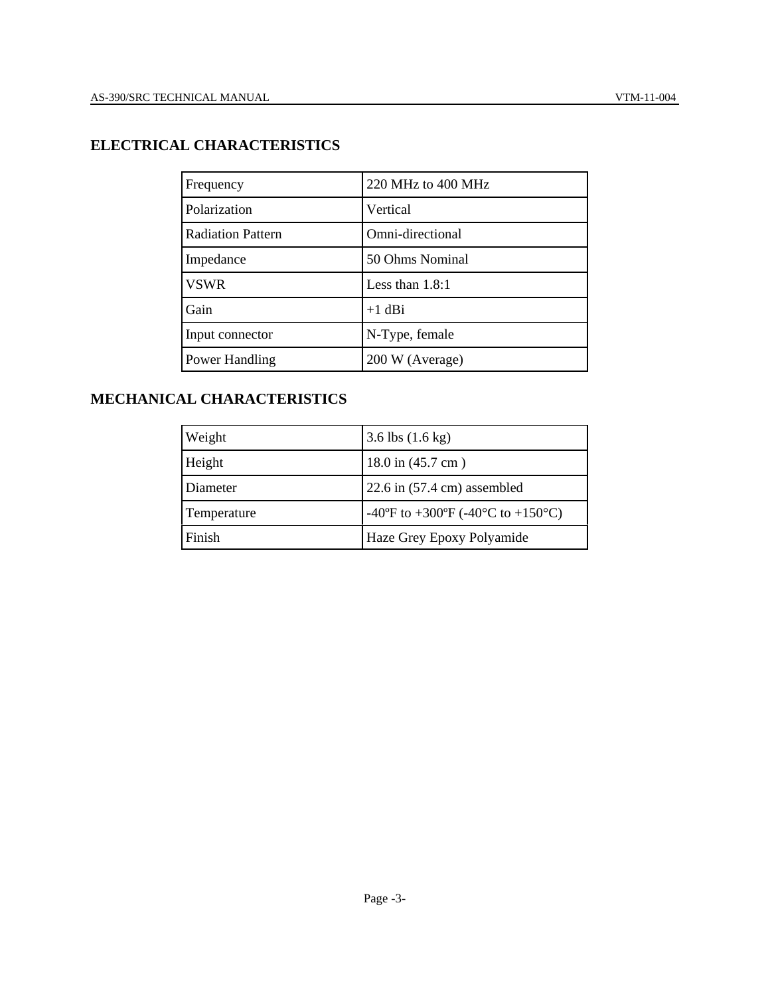| Frequency                | 220 MHz to 400 MHz |
|--------------------------|--------------------|
| Polarization             | Vertical           |
| <b>Radiation Pattern</b> | Omni-directional   |
| Impedance                | 50 Ohms Nominal    |
| <b>VSWR</b>              | Less than $1.8:1$  |
| Gain                     | $+1$ dBi           |
| Input connector          | N-Type, female     |
| Power Handling           | 200 W (Average)    |

# **MECHANICAL CHARACTERISTICS**

| Weight      | 3.6 lbs $(1.6 \text{ kg})$            |
|-------------|---------------------------------------|
| Height      | $18.0$ in $(45.7$ cm)                 |
| Diameter    | 22.6 in $(57.4 \text{ cm})$ assembled |
| Temperature | -40°F to +300°F (-40°C to +150°C)     |
| Finish      | Haze Grey Epoxy Polyamide             |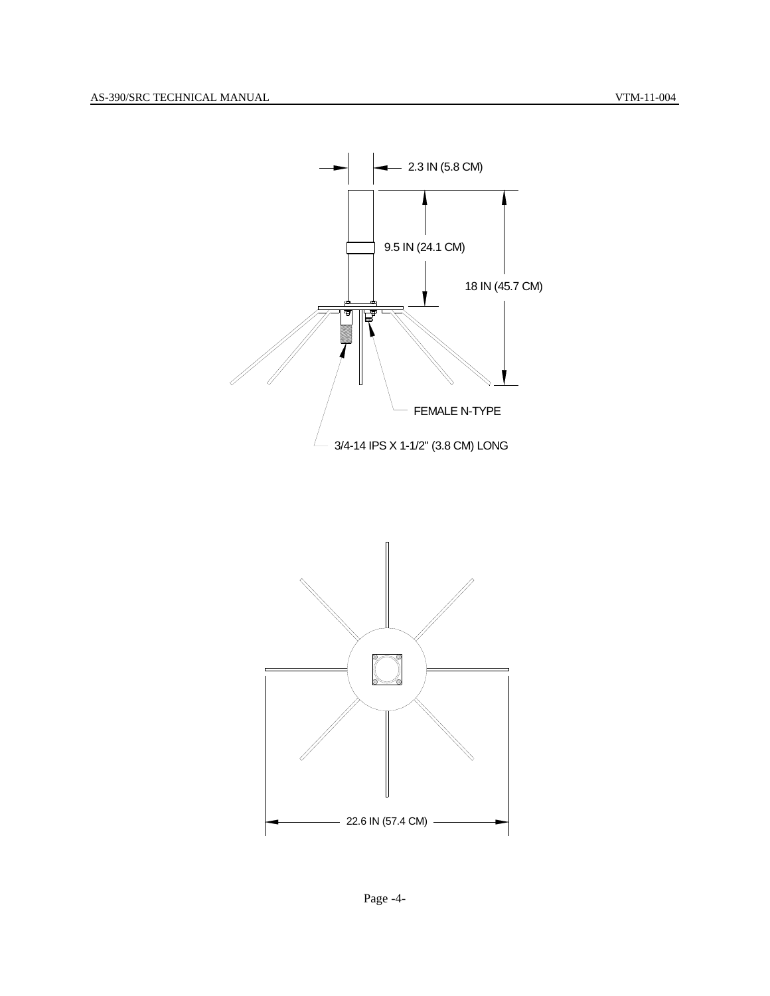



Page -4-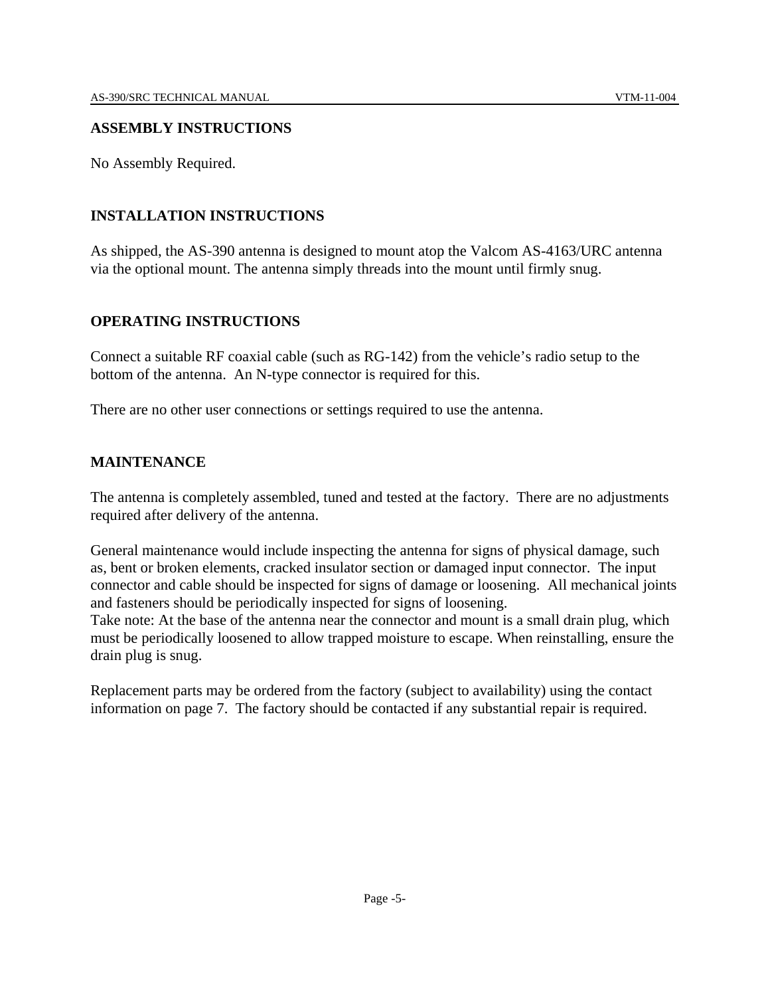#### **ASSEMBLY INSTRUCTIONS**

No Assembly Required.

### **INSTALLATION INSTRUCTIONS**

As shipped, the AS-390 antenna is designed to mount atop the Valcom AS-4163/URC antenna via the optional mount. The antenna simply threads into the mount until firmly snug.

#### **OPERATING INSTRUCTIONS**

Connect a suitable RF coaxial cable (such as RG-142) from the vehicle's radio setup to the bottom of the antenna. An N-type connector is required for this.

There are no other user connections or settings required to use the antenna.

#### **MAINTENANCE**

The antenna is completely assembled, tuned and tested at the factory. There are no adjustments required after delivery of the antenna.

General maintenance would include inspecting the antenna for signs of physical damage, such as, bent or broken elements, cracked insulator section or damaged input connector. The input connector and cable should be inspected for signs of damage or loosening. All mechanical joints and fasteners should be periodically inspected for signs of loosening.

Take note: At the base of the antenna near the connector and mount is a small drain plug, which must be periodically loosened to allow trapped moisture to escape. When reinstalling, ensure the drain plug is snug.

Replacement parts may be ordered from the factory (subject to availability) using the contact information on page 7. The factory should be contacted if any substantial repair is required.